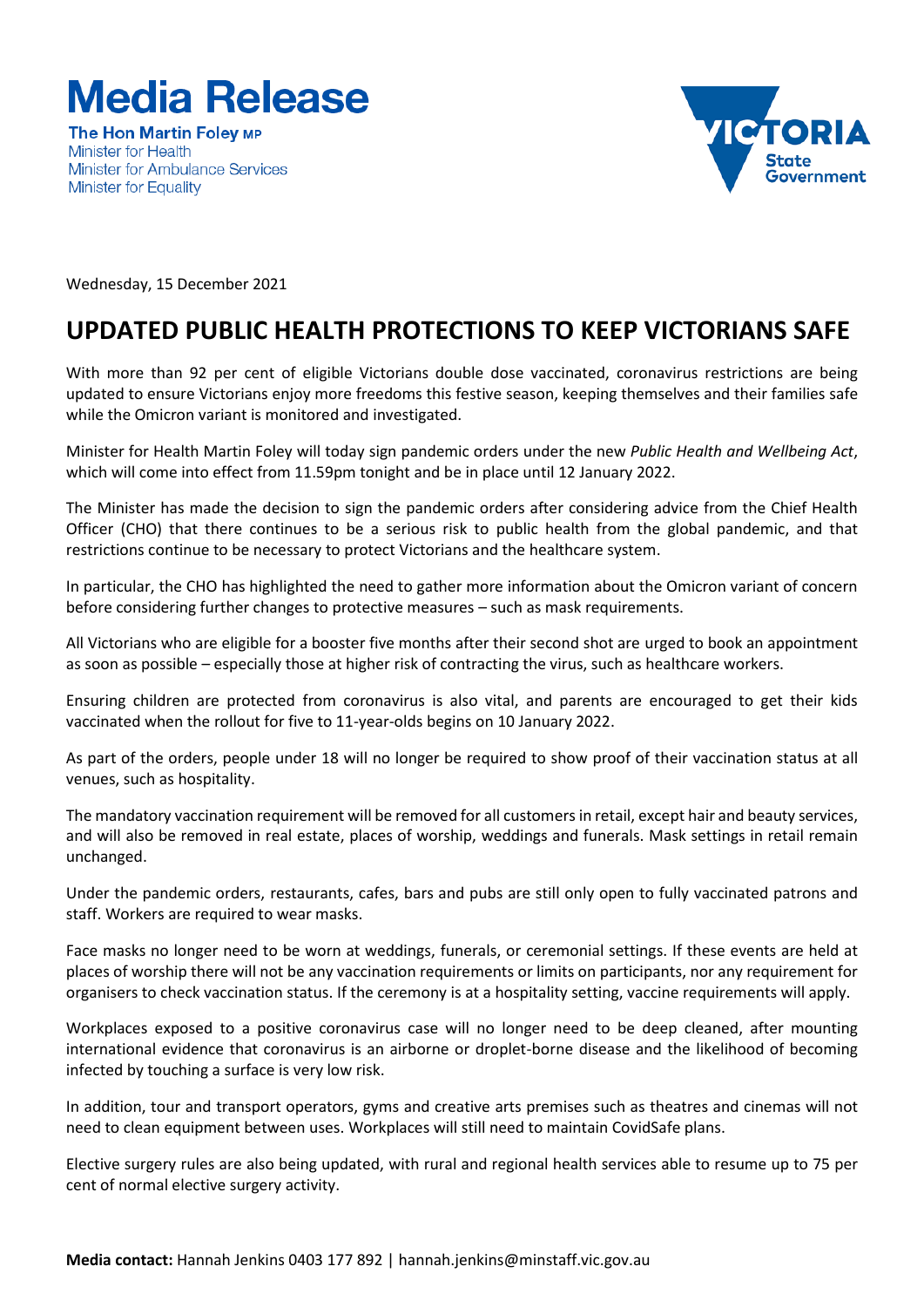

**The Hon Martin Folev MP Minister for Health Minister for Ambulance Services Minister for Equality** 



Wednesday, 15 December 2021

## **UPDATED PUBLIC HEALTH PROTECTIONS TO KEEP VICTORIANS SAFE**

With more than 92 per cent of eligible Victorians double dose vaccinated, coronavirus restrictions are being updated to ensure Victorians enjoy more freedoms this festive season, keeping themselves and their families safe while the Omicron variant is monitored and investigated.

Minister for Health Martin Foley will today sign pandemic orders under the new *Public Health and Wellbeing Act*, which will come into effect from 11.59pm tonight and be in place until 12 January 2022.

The Minister has made the decision to sign the pandemic orders after considering advice from the Chief Health Officer (CHO) that there continues to be a serious risk to public health from the global pandemic, and that restrictions continue to be necessary to protect Victorians and the healthcare system.

In particular, the CHO has highlighted the need to gather more information about the Omicron variant of concern before considering further changes to protective measures – such as mask requirements.

All Victorians who are eligible for a booster five months after their second shot are urged to book an appointment as soon as possible – especially those at higher risk of contracting the virus, such as healthcare workers.

Ensuring children are protected from coronavirus is also vital, and parents are encouraged to get their kids vaccinated when the rollout for five to 11-year-olds begins on 10 January 2022.

As part of the orders, people under 18 will no longer be required to show proof of their vaccination status at all venues, such as hospitality.

The mandatory vaccination requirement will be removed for all customers in retail, except hair and beauty services, and will also be removed in real estate, places of worship, weddings and funerals. Mask settings in retail remain unchanged.

Under the pandemic orders, restaurants, cafes, bars and pubs are still only open to fully vaccinated patrons and staff. Workers are required to wear masks.

Face masks no longer need to be worn at weddings, funerals, or ceremonial settings. If these events are held at places of worship there will not be any vaccination requirements or limits on participants, nor any requirement for organisers to check vaccination status. If the ceremony is at a hospitality setting, vaccine requirements will apply.

Workplaces exposed to a positive coronavirus case will no longer need to be deep cleaned, after mounting international evidence that coronavirus is an airborne or droplet-borne disease and the likelihood of becoming infected by touching a surface is very low risk.

In addition, tour and transport operators, gyms and creative arts premises such as theatres and cinemas will not need to clean equipment between uses. Workplaces will still need to maintain CovidSafe plans.

Elective surgery rules are also being updated, with rural and regional health services able to resume up to 75 per cent of normal elective surgery activity.